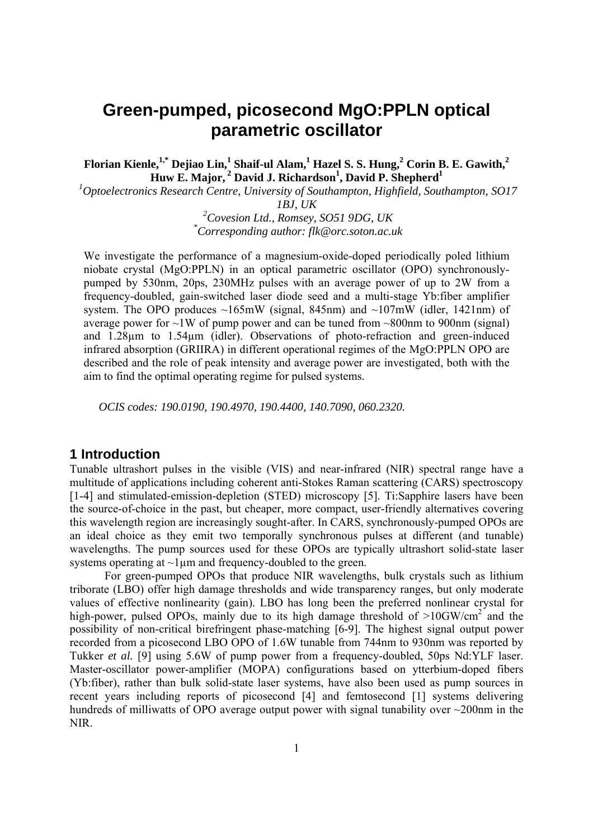# **Green-pumped, picosecond MgO:PPLN optical parametric oscillator**

 $\mathbf{F}$ lorian Kienle,  $^{1,*}$  Dejiao Lin,  $^{1}$  Shaif-ul Alam,  $^{1}$  Hazel S. S. Hung,  $^{2}$  Corin B. E. Gawith,  $^{2}$  $\textbf{Huw}\ \textbf{E.}\ \textbf{Major},^2$  David J. Richardson<sup>1</sup>, David P. Shepherd<sup>1</sup>

*1 Optoelectronics Research Centre, University of Southampton, Highfield, Southampton, SO17* 

*1BJ, UK* 

*2 Covesion Ltd., Romsey, SO51 9DG, UK \* Corresponding author: flk@orc.soton.ac.uk* 

We investigate the performance of a magnesium-oxide-doped periodically poled lithium niobate crystal (MgO:PPLN) in an optical parametric oscillator (OPO) synchronouslypumped by 530nm, 20ps, 230MHz pulses with an average power of up to 2W from a frequency-doubled, gain-switched laser diode seed and a multi-stage Yb:fiber amplifier system. The OPO produces  $\sim 165 \text{mW}$  (signal, 845nm) and  $\sim 107 \text{mW}$  (idler, 1421nm) of average power for  $\sim$ 1W of pump power and can be tuned from  $\sim$ 800nm to 900nm (signal) and 1.28µm to 1.54µm (idler). Observations of photo-refraction and green-induced infrared absorption (GRIIRA) in different operational regimes of the MgO:PPLN OPO are described and the role of peak intensity and average power are investigated, both with the aim to find the optimal operating regime for pulsed systems.

 *OCIS codes: 190.0190, 190.4970, 190.4400, 140.7090, 060.2320.* 

## **1 Introduction**

Tunable ultrashort pulses in the visible (VIS) and near-infrared (NIR) spectral range have a multitude of applications including coherent anti-Stokes Raman scattering (CARS) spectroscopy [1-4] and stimulated-emission-depletion (STED) microscopy [5]. Ti:Sapphire lasers have been the source-of-choice in the past, but cheaper, more compact, user-friendly alternatives covering this wavelength region are increasingly sought-after. In CARS, synchronously-pumped OPOs are an ideal choice as they emit two temporally synchronous pulses at different (and tunable) wavelengths. The pump sources used for these OPOs are typically ultrashort solid-state laser systems operating at  $\sim$ 1 $\mu$ m and frequency-doubled to the green.

 For green-pumped OPOs that produce NIR wavelengths, bulk crystals such as lithium triborate (LBO) offer high damage thresholds and wide transparency ranges, but only moderate values of effective nonlinearity (gain). LBO has long been the preferred nonlinear crystal for high-power, pulsed OPOs, mainly due to its high damage threshold of  $>10$ GW/cm<sup>2</sup> and the possibility of non-critical birefringent phase-matching [6-9]. The highest signal output power recorded from a picosecond LBO OPO of 1.6W tunable from 744nm to 930nm was reported by Tukker *et al.* [9] using 5.6W of pump power from a frequency-doubled, 50ps Nd:YLF laser. Master-oscillator power-amplifier (MOPA) configurations based on ytterbium-doped fibers (Yb:fiber), rather than bulk solid-state laser systems, have also been used as pump sources in recent years including reports of picosecond [4] and femtosecond [1] systems delivering hundreds of milliwatts of OPO average output power with signal tunability over  $\sim$ 200nm in the NIR.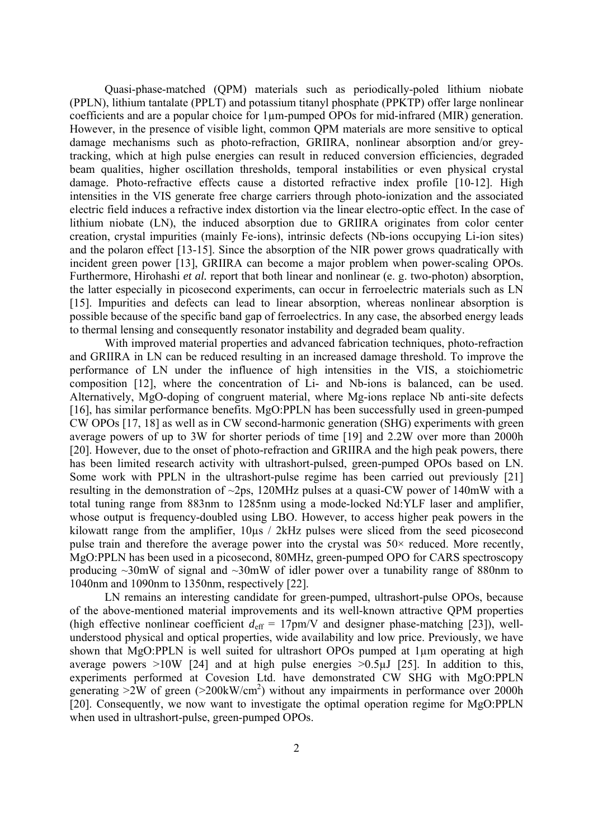Quasi-phase-matched (QPM) materials such as periodically-poled lithium niobate (PPLN), lithium tantalate (PPLT) and potassium titanyl phosphate (PPKTP) offer large nonlinear coefficients and are a popular choice for 1µm-pumped OPOs for mid-infrared (MIR) generation. However, in the presence of visible light, common QPM materials are more sensitive to optical damage mechanisms such as photo-refraction, GRIIRA, nonlinear absorption and/or greytracking, which at high pulse energies can result in reduced conversion efficiencies, degraded beam qualities, higher oscillation thresholds, temporal instabilities or even physical crystal damage. Photo-refractive effects cause a distorted refractive index profile [10-12]. High intensities in the VIS generate free charge carriers through photo-ionization and the associated electric field induces a refractive index distortion via the linear electro-optic effect. In the case of lithium niobate (LN), the induced absorption due to GRIIRA originates from color center creation, crystal impurities (mainly Fe-ions), intrinsic defects (Nb-ions occupying Li-ion sites) and the polaron effect [13-15]. Since the absorption of the NIR power grows quadratically with incident green power [13], GRIIRA can become a major problem when power-scaling OPOs. Furthermore, Hirohashi *et al.* report that both linear and nonlinear (e. g. two-photon) absorption, the latter especially in picosecond experiments, can occur in ferroelectric materials such as LN [15]. Impurities and defects can lead to linear absorption, whereas nonlinear absorption is possible because of the specific band gap of ferroelectrics. In any case, the absorbed energy leads to thermal lensing and consequently resonator instability and degraded beam quality.

With improved material properties and advanced fabrication techniques, photo-refraction and GRIIRA in LN can be reduced resulting in an increased damage threshold. To improve the performance of LN under the influence of high intensities in the VIS, a stoichiometric composition [12], where the concentration of Li- and Nb-ions is balanced, can be used. Alternatively, MgO-doping of congruent material, where Mg-ions replace Nb anti-site defects [16], has similar performance benefits. MgO:PPLN has been successfully used in green-pumped CW OPOs [17, 18] as well as in CW second-harmonic generation (SHG) experiments with green average powers of up to 3W for shorter periods of time [19] and 2.2W over more than 2000h [20]. However, due to the onset of photo-refraction and GRIIRA and the high peak powers, there has been limited research activity with ultrashort-pulsed, green-pumped OPOs based on LN. Some work with PPLN in the ultrashort-pulse regime has been carried out previously [21] resulting in the demonstration of ~2ps, 120MHz pulses at a quasi-CW power of 140mW with a total tuning range from 883nm to 1285nm using a mode-locked Nd:YLF laser and amplifier, whose output is frequency-doubled using LBO. However, to access higher peak powers in the kilowatt range from the amplifier,  $10\mu s$  / 2kHz pulses were sliced from the seed picosecond pulse train and therefore the average power into the crystal was  $50\times$  reduced. More recently, MgO:PPLN has been used in a picosecond, 80MHz, green-pumped OPO for CARS spectroscopy producing  $\sim$ 30mW of signal and  $\sim$ 30mW of idler power over a tunability range of 880nm to 1040nm and 1090nm to 1350nm, respectively [22].

LN remains an interesting candidate for green-pumped, ultrashort-pulse OPOs, because of the above-mentioned material improvements and its well-known attractive QPM properties (high effective nonlinear coefficient  $d_{\text{eff}} = 17 \text{pm/V}$  and designer phase-matching [23]), wellunderstood physical and optical properties, wide availability and low price. Previously, we have shown that MgO:PPLN is well suited for ultrashort OPOs pumped at 1um operating at high average powers  $>10W$  [24] and at high pulse energies  $>0.5\mu J$  [25]. In addition to this, experiments performed at Covesion Ltd. have demonstrated CW SHG with MgO:PPLN generating  $>2W$  of green ( $>200$ kW/cm<sup>2</sup>) without any impairments in performance over 2000h [20]. Consequently, we now want to investigate the optimal operation regime for MgO:PPLN when used in ultrashort-pulse, green-pumped OPOs.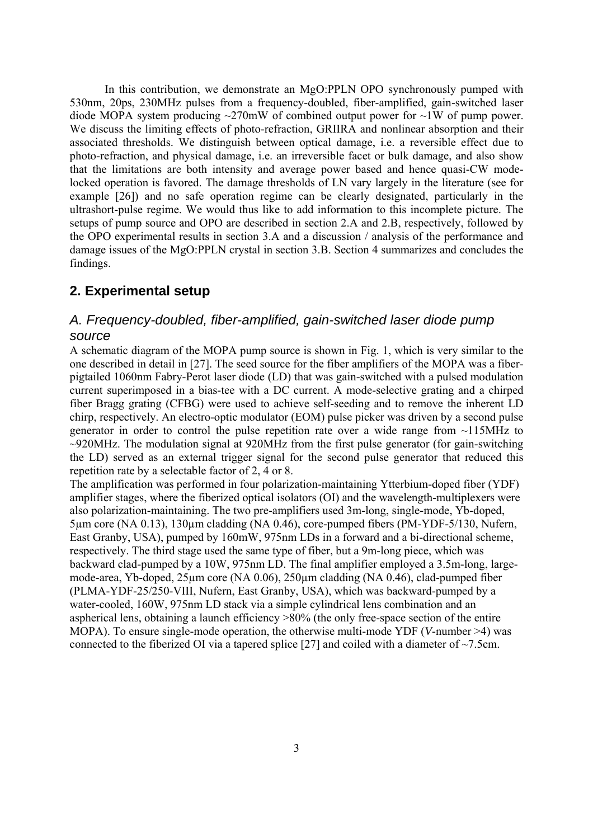In this contribution, we demonstrate an MgO:PPLN OPO synchronously pumped with 530nm, 20ps, 230MHz pulses from a frequency-doubled, fiber-amplified, gain-switched laser diode MOPA system producing  $\sim$ 270mW of combined output power for  $\sim$ 1W of pump power. We discuss the limiting effects of photo-refraction, GRIIRA and nonlinear absorption and their associated thresholds. We distinguish between optical damage, i.e. a reversible effect due to photo-refraction, and physical damage, i.e. an irreversible facet or bulk damage, and also show that the limitations are both intensity and average power based and hence quasi-CW modelocked operation is favored. The damage thresholds of LN vary largely in the literature (see for example [26]) and no safe operation regime can be clearly designated, particularly in the ultrashort-pulse regime. We would thus like to add information to this incomplete picture. The setups of pump source and OPO are described in section 2.A and 2.B, respectively, followed by the OPO experimental results in section 3.A and a discussion / analysis of the performance and damage issues of the MgO:PPLN crystal in section 3.B. Section 4 summarizes and concludes the findings.

# **2. Experimental setup**

# *A. Frequency-doubled, fiber-amplified, gain-switched laser diode pump source*

A schematic diagram of the MOPA pump source is shown in Fig. 1, which is very similar to the one described in detail in [27]. The seed source for the fiber amplifiers of the MOPA was a fiberpigtailed 1060nm Fabry-Perot laser diode (LD) that was gain-switched with a pulsed modulation current superimposed in a bias-tee with a DC current. A mode-selective grating and a chirped fiber Bragg grating (CFBG) were used to achieve self-seeding and to remove the inherent LD chirp, respectively. An electro-optic modulator (EOM) pulse picker was driven by a second pulse generator in order to control the pulse repetition rate over a wide range from ~115MHz to  $\sim$ 920MHz. The modulation signal at 920MHz from the first pulse generator (for gain-switching the LD) served as an external trigger signal for the second pulse generator that reduced this repetition rate by a selectable factor of 2, 4 or 8.

The amplification was performed in four polarization-maintaining Ytterbium-doped fiber (YDF) amplifier stages, where the fiberized optical isolators (OI) and the wavelength-multiplexers were also polarization-maintaining. The two pre-amplifiers used 3m-long, single-mode, Yb-doped, 5µm core (NA 0.13), 130µm cladding (NA 0.46), core-pumped fibers (PM-YDF-5/130, Nufern, East Granby, USA), pumped by 160mW, 975nm LDs in a forward and a bi-directional scheme, respectively. The third stage used the same type of fiber, but a 9m-long piece, which was backward clad-pumped by a 10W, 975nm LD. The final amplifier employed a 3.5m-long, largemode-area, Yb-doped, 25µm core (NA 0.06), 250µm cladding (NA 0.46), clad-pumped fiber (PLMA-YDF-25/250-VIII, Nufern, East Granby, USA), which was backward-pumped by a water-cooled, 160W, 975nm LD stack via a simple cylindrical lens combination and an aspherical lens, obtaining a launch efficiency >80% (the only free-space section of the entire MOPA). To ensure single-mode operation, the otherwise multi-mode YDF (*V*-number >4) was connected to the fiberized OI via a tapered splice  $[27]$  and coiled with a diameter of  $\sim$ 7.5cm.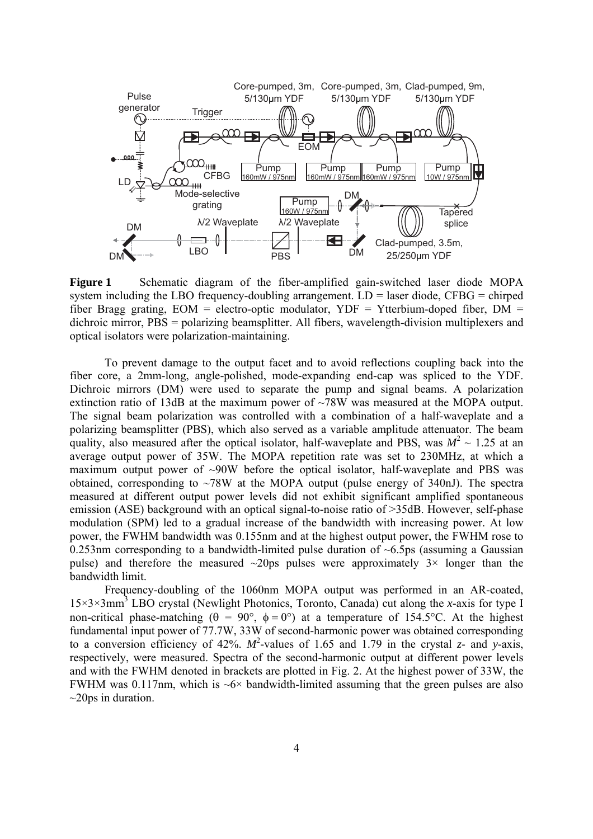

**Figure 1** Schematic diagram of the fiber-amplified gain-switched laser diode MOPA system including the LBO frequency-doubling arrangement.  $LD =$  laser diode, CFBG = chirped fiber Bragg grating,  $EOM =$  electro-optic modulator,  $YDF = Yt$ tterbium-doped fiber,  $DM =$ dichroic mirror, PBS = polarizing beamsplitter. All fibers, wavelength-division multiplexers and optical isolators were polarization-maintaining.

To prevent damage to the output facet and to avoid reflections coupling back into the fiber core, a 2mm-long, angle-polished, mode-expanding end-cap was spliced to the YDF. Dichroic mirrors (DM) were used to separate the pump and signal beams. A polarization extinction ratio of 13dB at the maximum power of ~78W was measured at the MOPA output. The signal beam polarization was controlled with a combination of a half-waveplate and a polarizing beamsplitter (PBS), which also served as a variable amplitude attenuator. The beam quality, also measured after the optical isolator, half-waveplate and PBS, was  $M^2 \sim 1.25$  at an average output power of 35W. The MOPA repetition rate was set to 230MHz, at which a maximum output power of  $\sim 90W$  before the optical isolator, half-waveplate and PBS was obtained, corresponding to  $\sim$ 78W at the MOPA output (pulse energy of 340nJ). The spectra measured at different output power levels did not exhibit significant amplified spontaneous emission (ASE) background with an optical signal-to-noise ratio of >35dB. However, self-phase modulation (SPM) led to a gradual increase of the bandwidth with increasing power. At low power, the FWHM bandwidth was 0.155nm and at the highest output power, the FWHM rose to 0.253nm corresponding to a bandwidth-limited pulse duration of  $\sim 6.5$ ps (assuming a Gaussian pulse) and therefore the measured  $\sim 20 \text{ps}$  pulses were approximately  $3 \times$  longer than the bandwidth limit.

 Frequency-doubling of the 1060nm MOPA output was performed in an AR-coated, 15×3×3mm3 LBO crystal (Newlight Photonics, Toronto, Canada) cut along the *x*-axis for type I non-critical phase-matching ( $\theta = 90^{\circ}$ ,  $\phi = 0^{\circ}$ ) at a temperature of 154.5°C. At the highest fundamental input power of 77.7W, 33W of second-harmonic power was obtained corresponding to a conversion efficiency of 42%.  $M^2$ -values of 1.65 and 1.79 in the crystal *z*- and *y*-axis, respectively, were measured. Spectra of the second-harmonic output at different power levels and with the FWHM denoted in brackets are plotted in Fig. 2. At the highest power of 33W, the FWHM was 0.117nm, which is  $\sim 6 \times$  bandwidth-limited assuming that the green pulses are also  $\sim$ 20ps in duration.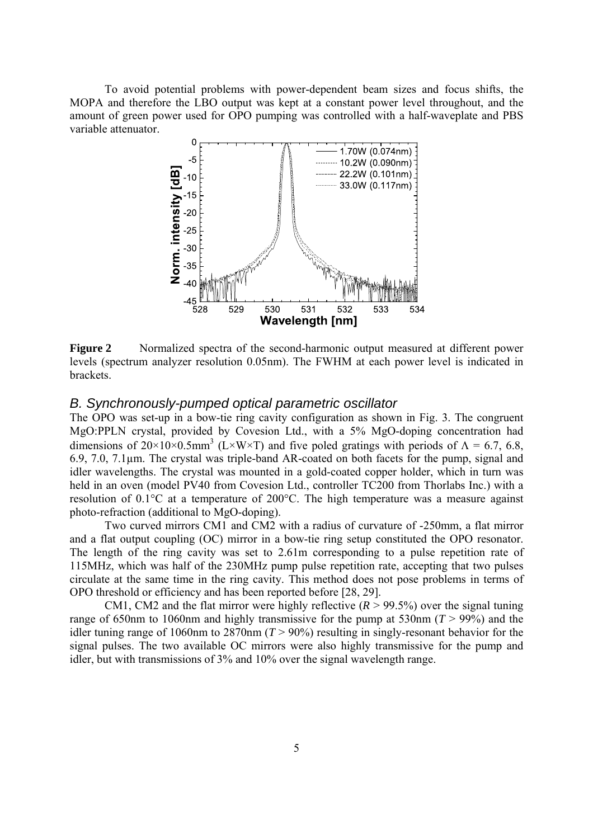To avoid potential problems with power-dependent beam sizes and focus shifts, the MOPA and therefore the LBO output was kept at a constant power level throughout, and the amount of green power used for OPO pumping was controlled with a half-waveplate and PBS variable attenuator.



**Figure 2** Normalized spectra of the second-harmonic output measured at different power levels (spectrum analyzer resolution 0.05nm). The FWHM at each power level is indicated in brackets.

#### *B. Synchronously-pumped optical parametric oscillator*

The OPO was set-up in a bow-tie ring cavity configuration as shown in Fig. 3. The congruent MgO:PPLN crystal, provided by Covesion Ltd., with a 5% MgO-doping concentration had dimensions of  $20 \times 10 \times 0.5$ mm<sup>3</sup> (L×W×T) and five poled gratings with periods of  $\Lambda = 6.7, 6.8$ , 6.9, 7.0, 7.1µm. The crystal was triple-band AR-coated on both facets for the pump, signal and idler wavelengths. The crystal was mounted in a gold-coated copper holder, which in turn was held in an oven (model PV40 from Covesion Ltd., controller TC200 from Thorlabs Inc.) with a resolution of 0.1°C at a temperature of 200°C. The high temperature was a measure against photo-refraction (additional to MgO-doping).

Two curved mirrors CM1 and CM2 with a radius of curvature of -250mm, a flat mirror and a flat output coupling (OC) mirror in a bow-tie ring setup constituted the OPO resonator. The length of the ring cavity was set to 2.61m corresponding to a pulse repetition rate of 115MHz, which was half of the 230MHz pump pulse repetition rate, accepting that two pulses circulate at the same time in the ring cavity. This method does not pose problems in terms of OPO threshold or efficiency and has been reported before [28, 29].

CM1, CM2 and the flat mirror were highly reflective  $(R > 99.5\%)$  over the signal tuning range of 650nm to 1060nm and highly transmissive for the pump at 530nm  $(T > 99\%)$  and the idler tuning range of 1060nm to 2870nm (*T* > 90%) resulting in singly-resonant behavior for the signal pulses. The two available OC mirrors were also highly transmissive for the pump and idler, but with transmissions of 3% and 10% over the signal wavelength range.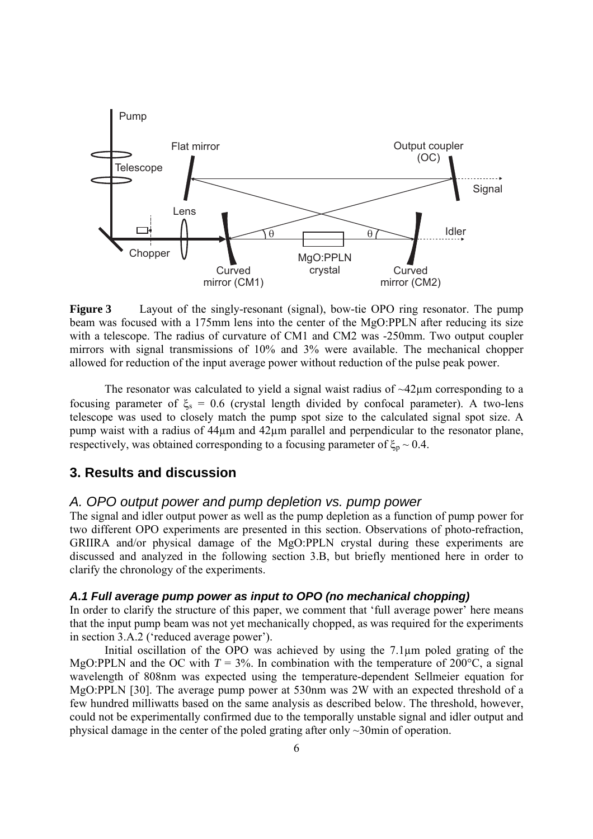

**Figure 3** Layout of the singly-resonant (signal), bow-tie OPO ring resonator. The pump beam was focused with a 175mm lens into the center of the MgO:PPLN after reducing its size with a telescope. The radius of curvature of CM1 and CM2 was -250mm. Two output coupler mirrors with signal transmissions of 10% and 3% were available. The mechanical chopper allowed for reduction of the input average power without reduction of the pulse peak power.

The resonator was calculated to yield a signal waist radius of  $\sim$ 42 $\mu$ m corresponding to a focusing parameter of  $\xi_s = 0.6$  (crystal length divided by confocal parameter). A two-lens telescope was used to closely match the pump spot size to the calculated signal spot size. A pump waist with a radius of 44µm and 42µm parallel and perpendicular to the resonator plane, respectively, was obtained corresponding to a focusing parameter of  $\xi_p \sim 0.4$ .

## **3. Results and discussion**

## *A. OPO output power and pump depletion vs. pump power*

The signal and idler output power as well as the pump depletion as a function of pump power for two different OPO experiments are presented in this section. Observations of photo-refraction, GRIIRA and/or physical damage of the MgO:PPLN crystal during these experiments are discussed and analyzed in the following section 3.B, but briefly mentioned here in order to clarify the chronology of the experiments.

#### *A.1 Full average pump power as input to OPO (no mechanical chopping)*

In order to clarify the structure of this paper, we comment that 'full average power' here means that the input pump beam was not yet mechanically chopped, as was required for the experiments in section 3.A.2 ('reduced average power').

Initial oscillation of the OPO was achieved by using the 7.1µm poled grating of the MgO:PPLN and the OC with  $T = 3\%$ . In combination with the temperature of 200°C, a signal wavelength of 808nm was expected using the temperature-dependent Sellmeier equation for MgO:PPLN [30]. The average pump power at 530nm was 2W with an expected threshold of a few hundred milliwatts based on the same analysis as described below. The threshold, however, could not be experimentally confirmed due to the temporally unstable signal and idler output and physical damage in the center of the poled grating after only ~30min of operation.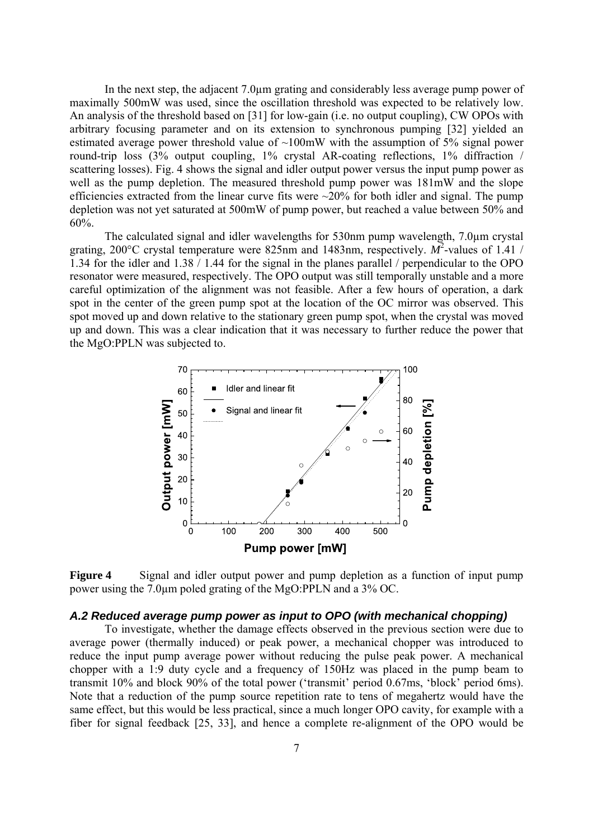In the next step, the adjacent 7.0µm grating and considerably less average pump power of maximally 500mW was used, since the oscillation threshold was expected to be relatively low. An analysis of the threshold based on [31] for low-gain (i.e. no output coupling), CW OPOs with arbitrary focusing parameter and on its extension to synchronous pumping [32] yielded an estimated average power threshold value of  $\sim 100$  mW with the assumption of 5% signal power round-trip loss (3% output coupling, 1% crystal AR-coating reflections, 1% diffraction / scattering losses). Fig. 4 shows the signal and idler output power versus the input pump power as well as the pump depletion. The measured threshold pump power was 181mW and the slope efficiencies extracted from the linear curve fits were  $\sim$ 20% for both idler and signal. The pump depletion was not yet saturated at 500mW of pump power, but reached a value between 50% and 60%.

The calculated signal and idler wavelengths for 530nm pump wavelength, 7.0µm crystal grating, 200°C crystal temperature were 825nm and 1483nm, respectively.  $\overrightarrow{M^2}$ -values of 1.41 / 1.34 for the idler and 1.38 / 1.44 for the signal in the planes parallel / perpendicular to the OPO resonator were measured, respectively. The OPO output was still temporally unstable and a more careful optimization of the alignment was not feasible. After a few hours of operation, a dark spot in the center of the green pump spot at the location of the OC mirror was observed. This spot moved up and down relative to the stationary green pump spot, when the crystal was moved up and down. This was a clear indication that it was necessary to further reduce the power that the MgO:PPLN was subjected to.



**Figure 4** Signal and idler output power and pump depletion as a function of input pump power using the 7.0µm poled grating of the MgO:PPLN and a 3% OC.

#### *A.2 Reduced average pump power as input to OPO (with mechanical chopping)*

To investigate, whether the damage effects observed in the previous section were due to average power (thermally induced) or peak power, a mechanical chopper was introduced to reduce the input pump average power without reducing the pulse peak power. A mechanical chopper with a 1:9 duty cycle and a frequency of 150Hz was placed in the pump beam to transmit 10% and block 90% of the total power ('transmit' period 0.67ms, 'block' period 6ms). Note that a reduction of the pump source repetition rate to tens of megahertz would have the same effect, but this would be less practical, since a much longer OPO cavity, for example with a fiber for signal feedback [25, 33], and hence a complete re-alignment of the OPO would be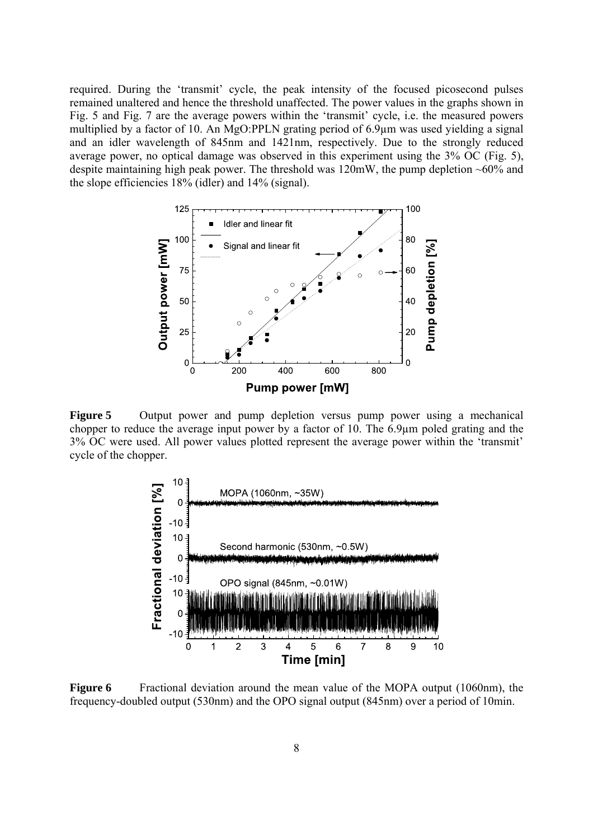required. During the 'transmit' cycle, the peak intensity of the focused picosecond pulses remained unaltered and hence the threshold unaffected. The power values in the graphs shown in Fig. 5 and Fig. 7 are the average powers within the 'transmit' cycle, i.e. the measured powers multiplied by a factor of 10. An MgO:PPLN grating period of 6.9µm was used yielding a signal and an idler wavelength of 845nm and 1421nm, respectively. Due to the strongly reduced average power, no optical damage was observed in this experiment using the 3% OC (Fig. 5), despite maintaining high peak power. The threshold was  $120mW$ , the pump depletion  $\sim 60\%$  and the slope efficiencies 18% (idler) and 14% (signal).



**Figure 5** Output power and pump depletion versus pump power using a mechanical chopper to reduce the average input power by a factor of 10. The 6.9µm poled grating and the 3% OC were used. All power values plotted represent the average power within the 'transmit' cycle of the chopper.



**Figure 6** Fractional deviation around the mean value of the MOPA output (1060nm), the frequency-doubled output (530nm) and the OPO signal output (845nm) over a period of 10min.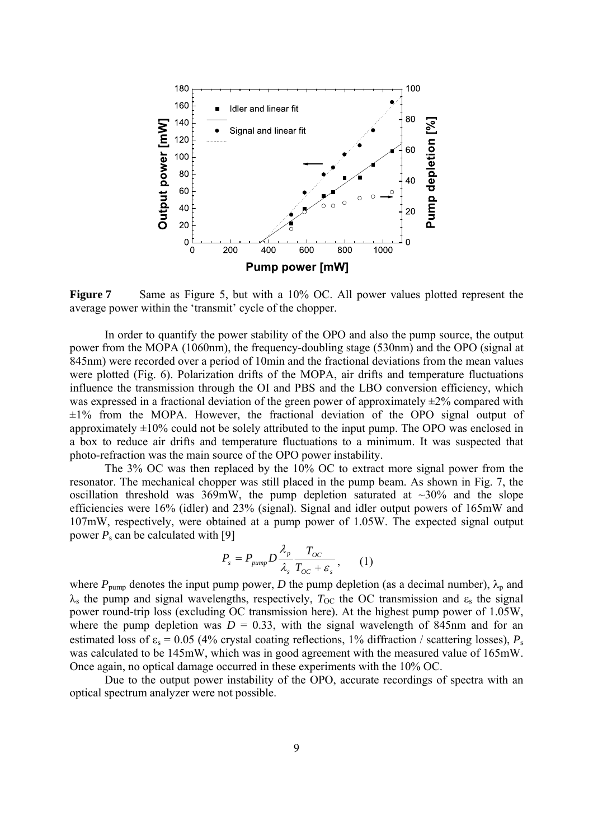

**Figure 7** Same as Figure 5, but with a 10% OC. All power values plotted represent the average power within the 'transmit' cycle of the chopper.

 In order to quantify the power stability of the OPO and also the pump source, the output power from the MOPA (1060nm), the frequency-doubling stage (530nm) and the OPO (signal at 845nm) were recorded over a period of 10min and the fractional deviations from the mean values were plotted (Fig. 6). Polarization drifts of the MOPA, air drifts and temperature fluctuations influence the transmission through the OI and PBS and the LBO conversion efficiency, which was expressed in a fractional deviation of the green power of approximately  $\pm 2\%$  compared with  $\pm 1\%$  from the MOPA. However, the fractional deviation of the OPO signal output of approximately  $\pm 10\%$  could not be solely attributed to the input pump. The OPO was enclosed in a box to reduce air drifts and temperature fluctuations to a minimum. It was suspected that photo-refraction was the main source of the OPO power instability.

The 3% OC was then replaced by the 10% OC to extract more signal power from the resonator. The mechanical chopper was still placed in the pump beam. As shown in Fig. 7, the oscillation threshold was  $369mW$ , the pump depletion saturated at  $\sim$ 30% and the slope efficiencies were 16% (idler) and 23% (signal). Signal and idler output powers of 165mW and 107mW, respectively, were obtained at a pump power of 1.05W. The expected signal output power  $P_s$  can be calculated with [9]

$$
P_s = P_{pump} D \frac{\lambda_p}{\lambda_s} \frac{T_{OC}}{T_{OC} + \varepsilon_s}, \qquad (1)
$$

where  $P_{\text{pump}}$  denotes the input pump power, *D* the pump depletion (as a decimal number),  $\lambda_p$  and  $\lambda_s$  the pump and signal wavelengths, respectively,  $T_{\rm OC}$  the OC transmission and  $\varepsilon_s$  the signal power round-trip loss (excluding OC transmission here). At the highest pump power of 1.05W, where the pump depletion was  $D = 0.33$ , with the signal wavelength of 845nm and for an estimated loss of  $\varepsilon_s = 0.05$  (4% crystal coating reflections, 1% diffraction / scattering losses),  $P_s$ was calculated to be 145mW, which was in good agreement with the measured value of 165mW. Once again, no optical damage occurred in these experiments with the 10% OC.

Due to the output power instability of the OPO, accurate recordings of spectra with an optical spectrum analyzer were not possible.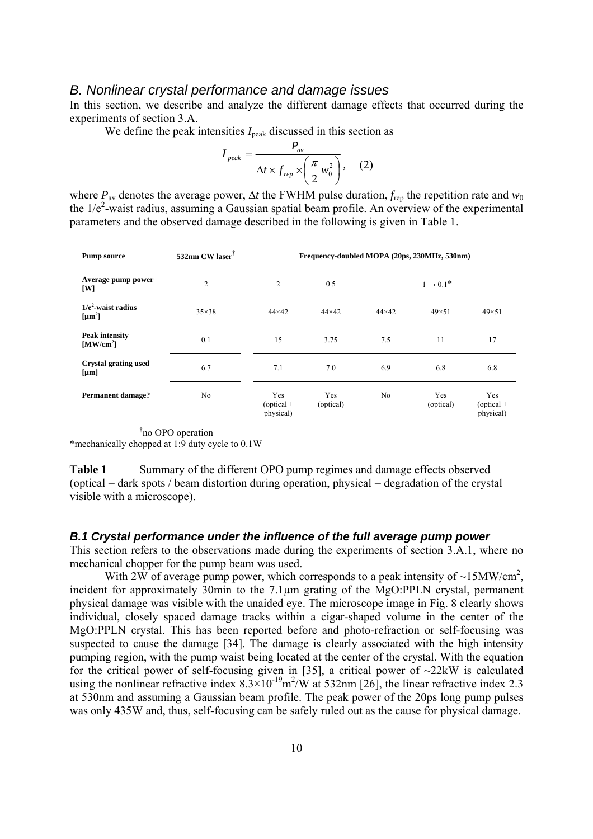### *B. Nonlinear crystal performance and damage issues*

In this section, we describe and analyze the different damage effects that occurred during the experiments of section 3.A.

We define the peak intensities  $I_{\text{peak}}$  discussed in this section as

$$
I_{peak} = \frac{P_{av}}{\Delta t \times f_{rep} \times \left(\frac{\pi}{2} w_0^2\right)},
$$
 (2)

where  $P_{av}$  denotes the average power,  $\Delta t$  the FWHM pulse duration,  $f_{\text{ren}}$  the repetition rate and  $w_0$ the  $1/e<sup>2</sup>$ -waist radius, assuming a Gaussian spatial beam profile. An overview of the experimental parameters and the observed damage described in the following is given in Table 1.

| <b>Pump source</b>                               | 532nm CW laser | Frequency-doubled MOPA (20ps, 230MHz, 530nm) |                  |                       |                  |                                  |
|--------------------------------------------------|----------------|----------------------------------------------|------------------|-----------------------|------------------|----------------------------------|
| Average pump power<br>[W]                        | $\overline{2}$ | $\overline{2}$                               | 0.5              | $1 \rightarrow 0.1^*$ |                  |                                  |
| $1/e2$ -waist radius<br>[ $\mu$ m <sup>2</sup> ] | $35\times38$   | $44\times42$                                 | $44\times42$     | $44\times42$          | $49\times51$     | $49\times51$                     |
| <b>Peak intensity</b><br>[MW/cm <sup>2</sup> ]   | 0.1            | 15                                           | 3.75             | 7.5                   | 11               | 17                               |
| <b>Crystal grating used</b><br>${\rm [µm]}$      | 6.7            | 7.1                                          | 7.0              | 6.9                   | 6.8              | 6.8                              |
| <b>Permanent damage?</b>                         | No             | Yes<br>$(optical +$<br>physical)             | Yes<br>(optical) | N <sub>0</sub>        | Yes<br>(optical) | Yes<br>$(optical +$<br>physical) |

† no OPO operation

\*mechanically chopped at 1:9 duty cycle to 0.1W

**Table 1** Summary of the different OPO pump regimes and damage effects observed (optical = dark spots / beam distortion during operation, physical = degradation of the crystal visible with a microscope).

#### *B.1 Crystal performance under the influence of the full average pump power*

This section refers to the observations made during the experiments of section 3.A.1, where no mechanical chopper for the pump beam was used.

With 2W of average pump power, which corresponds to a peak intensity of  $\sim$ 15MW/cm<sup>2</sup>, incident for approximately 30min to the 7.1µm grating of the MgO:PPLN crystal, permanent physical damage was visible with the unaided eye. The microscope image in Fig. 8 clearly shows individual, closely spaced damage tracks within a cigar-shaped volume in the center of the MgO:PPLN crystal. This has been reported before and photo-refraction or self-focusing was suspected to cause the damage [34]. The damage is clearly associated with the high intensity pumping region, with the pump waist being located at the center of the crystal. With the equation for the critical power of self-focusing given in [35], a critical power of  $\sim$ 22kW is calculated using the nonlinear refractive index  $8.3 \times 10^{-19}$  m<sup>2</sup>/W at 532nm [26], the linear refractive index 2.3 at 530nm and assuming a Gaussian beam profile. The peak power of the 20ps long pump pulses was only 435W and, thus, self-focusing can be safely ruled out as the cause for physical damage.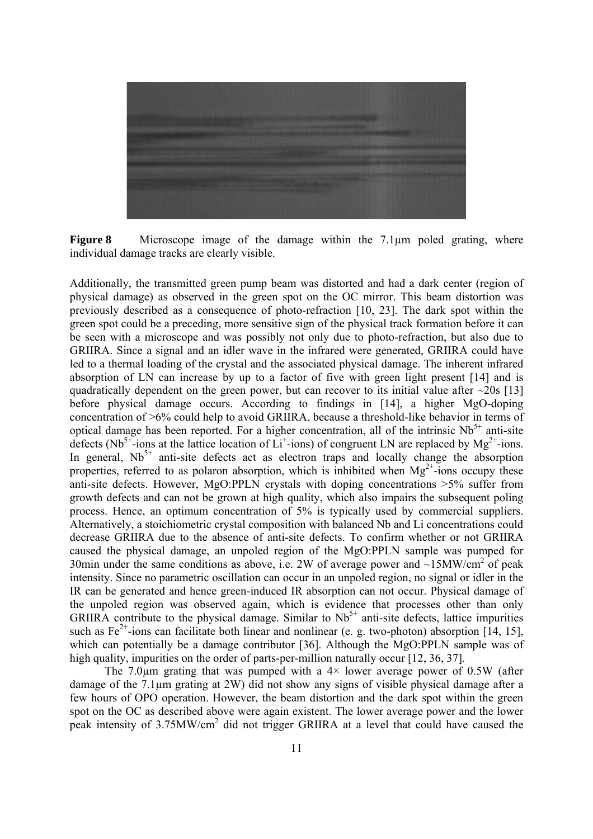

**Figure 8** Microscope image of the damage within the 7.1 µm poled grating, where individual damage tracks are clearly visible.

Additionally, the transmitted green pump beam was distorted and had a dark center (region of physical damage) as observed in the green spot on the OC mirror. This beam distortion was previously described as a consequence of photo-refraction [10, 23]. The dark spot within the green spot could be a preceding, more sensitive sign of the physical track formation before it can be seen with a microscope and was possibly not only due to photo-refraction, but also due to GRIIRA. Since a signal and an idler wave in the infrared were generated, GRIIRA could have led to a thermal loading of the crystal and the associated physical damage. The inherent infrared absorption of LN can increase by up to a factor of five with green light present [14] and is quadratically dependent on the green power, but can recover to its initial value after  $\sim$ 20s [13] before physical damage occurs. According to findings in [14], a higher MgO-doping concentration of >6% could help to avoid GRIIRA, because a threshold-like behavior in terms of optical damage has been reported. For a higher concentration, all of the intrinsic  $Nb<sup>5+</sup>$  anti-site defects (Nb<sup>5+</sup>-ions at the lattice location of  $Li^+$ -ions) of congruent LN are replaced by Mg<sup>2+</sup>-ions. In general,  $Nb<sup>5+</sup>$  anti-site defects act as electron traps and locally change the absorption properties, referred to as polaron absorption, which is inhibited when  $Mg^{2+}$ -ions occupy these anti-site defects. However, MgO:PPLN crystals with doping concentrations >5% suffer from growth defects and can not be grown at high quality, which also impairs the subsequent poling process. Hence, an optimum concentration of 5% is typically used by commercial suppliers. Alternatively, a stoichiometric crystal composition with balanced Nb and Li concentrations could decrease GRIIRA due to the absence of anti-site defects. To confirm whether or not GRIIRA caused the physical damage, an unpoled region of the MgO:PPLN sample was pumped for 30min under the same conditions as above, i.e. 2W of average power and  $\sim$ 15MW/cm<sup>2</sup> of peak intensity. Since no parametric oscillation can occur in an unpoled region, no signal or idler in the IR can be generated and hence green-induced IR absorption can not occur. Physical damage of the unpoled region was observed again, which is evidence that processes other than only GRIIRA contribute to the physical damage. Similar to  $Nb<sup>5+</sup>$  anti-site defects, lattice impurities such as  $Fe^{2+}$ -ions can facilitate both linear and nonlinear (e. g. two-photon) absorption [14, 15], which can potentially be a damage contributor [36]. Although the MgO:PPLN sample was of high quality, impurities on the order of parts-per-million naturally occur [12, 36, 37].

The 7.0 $\mu$ m grating that was pumped with a 4 $\times$  lower average power of 0.5W (after damage of the 7.1µm grating at 2W) did not show any signs of visible physical damage after a few hours of OPO operation. However, the beam distortion and the dark spot within the green spot on the OC as described above were again existent. The lower average power and the lower peak intensity of 3.75MW/cm<sup>2</sup> did not trigger GRIIRA at a level that could have caused the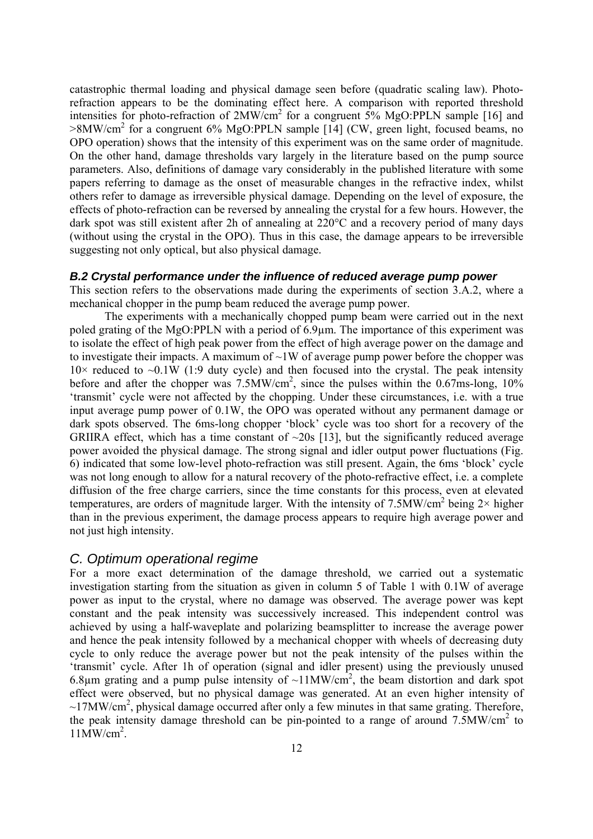catastrophic thermal loading and physical damage seen before (quadratic scaling law). Photorefraction appears to be the dominating effect here. A comparison with reported threshold intensities for photo-refraction of  $2MW/cm^2$  for a congruent  $5\%$  MgO:PPLN sample [16] and >8MW/cm<sup>2</sup> for a congruent 6% MgO:PPLN sample [14] (CW, green light, focused beams, no OPO operation) shows that the intensity of this experiment was on the same order of magnitude. On the other hand, damage thresholds vary largely in the literature based on the pump source parameters. Also, definitions of damage vary considerably in the published literature with some papers referring to damage as the onset of measurable changes in the refractive index, whilst others refer to damage as irreversible physical damage. Depending on the level of exposure, the effects of photo-refraction can be reversed by annealing the crystal for a few hours. However, the dark spot was still existent after 2h of annealing at 220°C and a recovery period of many days (without using the crystal in the OPO). Thus in this case, the damage appears to be irreversible suggesting not only optical, but also physical damage.

#### *B.2 Crystal performance under the influence of reduced average pump power*

This section refers to the observations made during the experiments of section 3.A.2, where a mechanical chopper in the pump beam reduced the average pump power.

The experiments with a mechanically chopped pump beam were carried out in the next poled grating of the MgO:PPLN with a period of 6.9µm. The importance of this experiment was to isolate the effect of high peak power from the effect of high average power on the damage and to investigate their impacts. A maximum of  $\sim$ 1W of average pump power before the chopper was  $10\times$  reduced to  $\sim 0.1W$  (1:9 duty cycle) and then focused into the crystal. The peak intensity before and after the chopper was  $7.5$ MW/cm<sup>2</sup>, since the pulses within the 0.67ms-long, 10% 'transmit' cycle were not affected by the chopping. Under these circumstances, i.e. with a true input average pump power of 0.1W, the OPO was operated without any permanent damage or dark spots observed. The 6ms-long chopper 'block' cycle was too short for a recovery of the GRIIRA effect, which has a time constant of  $\sim$ 20s [13], but the significantly reduced average power avoided the physical damage. The strong signal and idler output power fluctuations (Fig. 6) indicated that some low-level photo-refraction was still present. Again, the 6ms 'block' cycle was not long enough to allow for a natural recovery of the photo-refractive effect, i.e. a complete diffusion of the free charge carriers, since the time constants for this process, even at elevated temperatures, are orders of magnitude larger. With the intensity of  $7.5\text{MW/cm}^2$  being  $2\times$  higher than in the previous experiment, the damage process appears to require high average power and not just high intensity.

#### *C. Optimum operational regime*

For a more exact determination of the damage threshold, we carried out a systematic investigation starting from the situation as given in column 5 of Table 1 with 0.1W of average power as input to the crystal, where no damage was observed. The average power was kept constant and the peak intensity was successively increased. This independent control was achieved by using a half-waveplate and polarizing beamsplitter to increase the average power and hence the peak intensity followed by a mechanical chopper with wheels of decreasing duty cycle to only reduce the average power but not the peak intensity of the pulses within the 'transmit' cycle. After 1h of operation (signal and idler present) using the previously unused 6.8 $\mu$ m grating and a pump pulse intensity of ~11MW/cm<sup>2</sup>, the beam distortion and dark spot effect were observed, but no physical damage was generated. At an even higher intensity of  $\sim$ 17MW/cm<sup>2</sup>, physical damage occurred after only a few minutes in that same grating. Therefore, the peak intensity damage threshold can be pin-pointed to a range of around  $7.5\text{MW/cm}^2$  to  $11$ MW/cm<sup>2</sup>.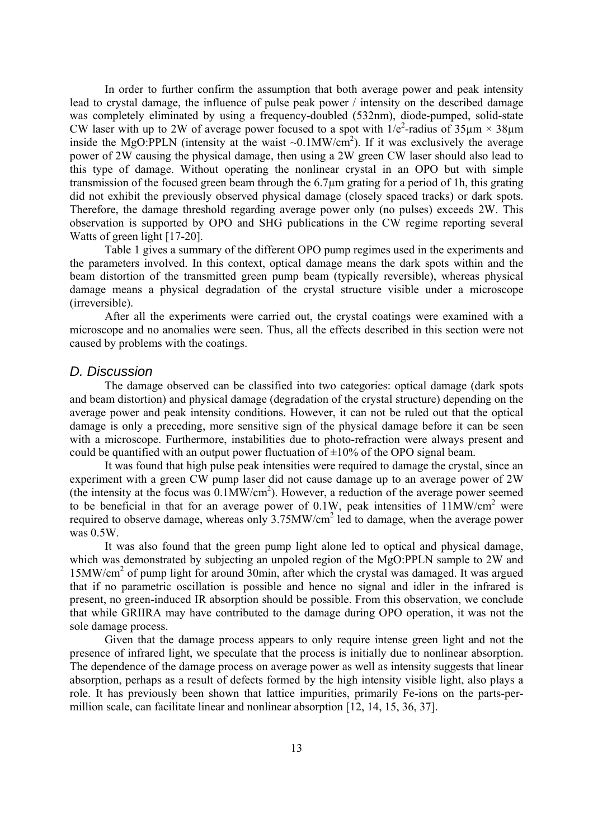In order to further confirm the assumption that both average power and peak intensity lead to crystal damage, the influence of pulse peak power / intensity on the described damage was completely eliminated by using a frequency-doubled (532nm), diode-pumped, solid-state CW laser with up to 2W of average power focused to a spot with  $1/e^2$ -radius of  $35\mu m \times 38\mu m$ inside the MgO:PPLN (intensity at the waist  $\sim 0.1$ MW/cm<sup>2</sup>). If it was exclusively the average power of 2W causing the physical damage, then using a 2W green CW laser should also lead to this type of damage. Without operating the nonlinear crystal in an OPO but with simple transmission of the focused green beam through the 6.7µm grating for a period of 1h, this grating did not exhibit the previously observed physical damage (closely spaced tracks) or dark spots. Therefore, the damage threshold regarding average power only (no pulses) exceeds 2W. This observation is supported by OPO and SHG publications in the CW regime reporting several Watts of green light [17-20].

Table 1 gives a summary of the different OPO pump regimes used in the experiments and the parameters involved. In this context, optical damage means the dark spots within and the beam distortion of the transmitted green pump beam (typically reversible), whereas physical damage means a physical degradation of the crystal structure visible under a microscope (irreversible).

After all the experiments were carried out, the crystal coatings were examined with a microscope and no anomalies were seen. Thus, all the effects described in this section were not caused by problems with the coatings.

#### *D. Discussion*

The damage observed can be classified into two categories: optical damage (dark spots and beam distortion) and physical damage (degradation of the crystal structure) depending on the average power and peak intensity conditions. However, it can not be ruled out that the optical damage is only a preceding, more sensitive sign of the physical damage before it can be seen with a microscope. Furthermore, instabilities due to photo-refraction were always present and could be quantified with an output power fluctuation of  $\pm 10\%$  of the OPO signal beam.

It was found that high pulse peak intensities were required to damage the crystal, since an experiment with a green CW pump laser did not cause damage up to an average power of 2W (the intensity at the focus was  $0.1$ MW/cm<sup>2</sup>). However, a reduction of the average power seemed to be beneficial in that for an average power of  $0.1W$ , peak intensities of  $11MW/cm<sup>2</sup>$  were required to observe damage, whereas only  $3.75$ MW/cm<sup>2</sup> led to damage, when the average power was  $0.5W$ 

It was also found that the green pump light alone led to optical and physical damage, which was demonstrated by subjecting an unpoled region of the MgO:PPLN sample to 2W and 15MW/cm2 of pump light for around 30min, after which the crystal was damaged. It was argued that if no parametric oscillation is possible and hence no signal and idler in the infrared is present, no green-induced IR absorption should be possible. From this observation, we conclude that while GRIIRA may have contributed to the damage during OPO operation, it was not the sole damage process.

Given that the damage process appears to only require intense green light and not the presence of infrared light, we speculate that the process is initially due to nonlinear absorption. The dependence of the damage process on average power as well as intensity suggests that linear absorption, perhaps as a result of defects formed by the high intensity visible light, also plays a role. It has previously been shown that lattice impurities, primarily Fe-ions on the parts-permillion scale, can facilitate linear and nonlinear absorption [12, 14, 15, 36, 37].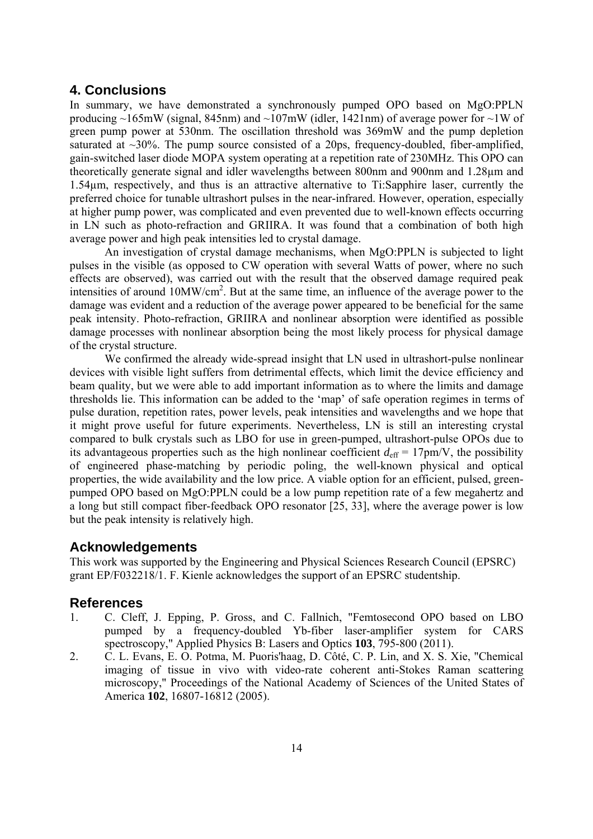## **4. Conclusions**

In summary, we have demonstrated a synchronously pumped OPO based on MgO:PPLN producing  $\sim$ 165mW (signal, 845nm) and  $\sim$ 107mW (idler, 1421nm) of average power for  $\sim$ 1W of green pump power at 530nm. The oscillation threshold was 369mW and the pump depletion saturated at  $\sim$ 30%. The pump source consisted of a 20ps, frequency-doubled, fiber-amplified, gain-switched laser diode MOPA system operating at a repetition rate of 230MHz. This OPO can theoretically generate signal and idler wavelengths between 800nm and 900nm and 1.28µm and 1.54µm, respectively, and thus is an attractive alternative to Ti:Sapphire laser, currently the preferred choice for tunable ultrashort pulses in the near-infrared. However, operation, especially at higher pump power, was complicated and even prevented due to well-known effects occurring in LN such as photo-refraction and GRIIRA. It was found that a combination of both high average power and high peak intensities led to crystal damage.

 An investigation of crystal damage mechanisms, when MgO:PPLN is subjected to light pulses in the visible (as opposed to CW operation with several Watts of power, where no such effects are observed), was carried out with the result that the observed damage required peak intensities of around 10MW/cm<sup>2</sup>. But at the same time, an influence of the average power to the damage was evident and a reduction of the average power appeared to be beneficial for the same peak intensity. Photo-refraction, GRIIRA and nonlinear absorption were identified as possible damage processes with nonlinear absorption being the most likely process for physical damage of the crystal structure.

We confirmed the already wide-spread insight that LN used in ultrashort-pulse nonlinear devices with visible light suffers from detrimental effects, which limit the device efficiency and beam quality, but we were able to add important information as to where the limits and damage thresholds lie. This information can be added to the 'map' of safe operation regimes in terms of pulse duration, repetition rates, power levels, peak intensities and wavelengths and we hope that it might prove useful for future experiments. Nevertheless, LN is still an interesting crystal compared to bulk crystals such as LBO for use in green-pumped, ultrashort-pulse OPOs due to its advantageous properties such as the high nonlinear coefficient  $d_{\text{eff}} = 17 \text{pm/V}$ , the possibility of engineered phase-matching by periodic poling, the well-known physical and optical properties, the wide availability and the low price. A viable option for an efficient, pulsed, greenpumped OPO based on MgO:PPLN could be a low pump repetition rate of a few megahertz and a long but still compact fiber-feedback OPO resonator [25, 33], where the average power is low but the peak intensity is relatively high.

## **Acknowledgements**

This work was supported by the Engineering and Physical Sciences Research Council (EPSRC) grant EP/F032218/1. F. Kienle acknowledges the support of an EPSRC studentship.

## **References**

- 1. C. Cleff, J. Epping, P. Gross, and C. Fallnich, "Femtosecond OPO based on LBO pumped by a frequency-doubled Yb-fiber laser-amplifier system for CARS spectroscopy," Applied Physics B: Lasers and Optics **103**, 795-800 (2011).
- 2. C. L. Evans, E. O. Potma, M. Puoris'haag, D. Côté, C. P. Lin, and X. S. Xie, "Chemical imaging of tissue in vivo with video-rate coherent anti-Stokes Raman scattering microscopy," Proceedings of the National Academy of Sciences of the United States of America **102**, 16807-16812 (2005).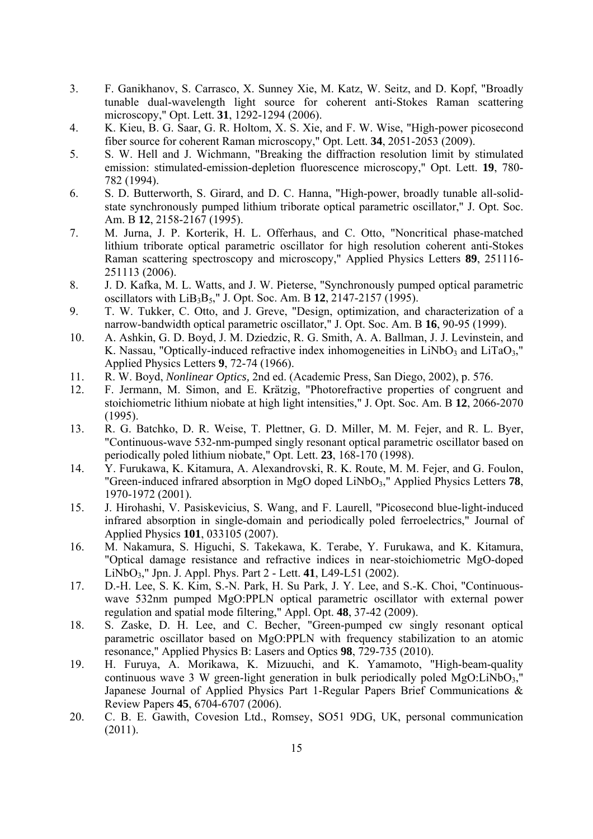- 3. F. Ganikhanov, S. Carrasco, X. Sunney Xie, M. Katz, W. Seitz, and D. Kopf, "Broadly tunable dual-wavelength light source for coherent anti-Stokes Raman scattering microscopy," Opt. Lett. **31**, 1292-1294 (2006).
- 4. K. Kieu, B. G. Saar, G. R. Holtom, X. S. Xie, and F. W. Wise, "High-power picosecond fiber source for coherent Raman microscopy," Opt. Lett. **34**, 2051-2053 (2009).
- 5. S. W. Hell and J. Wichmann, "Breaking the diffraction resolution limit by stimulated emission: stimulated-emission-depletion fluorescence microscopy," Opt. Lett. **19**, 780- 782 (1994).
- 6. S. D. Butterworth, S. Girard, and D. C. Hanna, "High-power, broadly tunable all-solidstate synchronously pumped lithium triborate optical parametric oscillator," J. Opt. Soc. Am. B **12**, 2158-2167 (1995).
- 7. M. Jurna, J. P. Korterik, H. L. Offerhaus, and C. Otto, "Noncritical phase-matched lithium triborate optical parametric oscillator for high resolution coherent anti-Stokes Raman scattering spectroscopy and microscopy," Applied Physics Letters **89**, 251116- 251113 (2006).
- 8. J. D. Kafka, M. L. Watts, and J. W. Pieterse, "Synchronously pumped optical parametric oscillators with LiB3B5," J. Opt. Soc. Am. B **12**, 2147-2157 (1995).
- 9. T. W. Tukker, C. Otto, and J. Greve, "Design, optimization, and characterization of a narrow-bandwidth optical parametric oscillator," J. Opt. Soc. Am. B **16**, 90-95 (1999).
- 10. A. Ashkin, G. D. Boyd, J. M. Dziedzic, R. G. Smith, A. A. Ballman, J. J. Levinstein, and K. Nassau, "Optically-induced refractive index inhomogeneities in LiNbO<sub>3</sub> and LiTaO<sub>3</sub>," Applied Physics Letters **9**, 72-74 (1966).
- 11. R. W. Boyd, *Nonlinear Optics,* 2nd ed. (Academic Press, San Diego, 2002), p. 576.
- 12. F. Jermann, M. Simon, and E. Krätzig, "Photorefractive properties of congruent and stoichiometric lithium niobate at high light intensities," J. Opt. Soc. Am. B **12**, 2066-2070 (1995).
- 13. R. G. Batchko, D. R. Weise, T. Plettner, G. D. Miller, M. M. Fejer, and R. L. Byer, "Continuous-wave 532-nm-pumped singly resonant optical parametric oscillator based on periodically poled lithium niobate," Opt. Lett. **23**, 168-170 (1998).
- 14. Y. Furukawa, K. Kitamura, A. Alexandrovski, R. K. Route, M. M. Fejer, and G. Foulon, "Green-induced infrared absorption in MgO doped LiNbO3," Applied Physics Letters **78**, 1970-1972 (2001).
- 15. J. Hirohashi, V. Pasiskevicius, S. Wang, and F. Laurell, "Picosecond blue-light-induced infrared absorption in single-domain and periodically poled ferroelectrics," Journal of Applied Physics **101**, 033105 (2007).
- 16. M. Nakamura, S. Higuchi, S. Takekawa, K. Terabe, Y. Furukawa, and K. Kitamura, "Optical damage resistance and refractive indices in near-stoichiometric MgO-doped LiNbO3," Jpn. J. Appl. Phys. Part 2 - Lett. **41**, L49-L51 (2002).
- 17. D.-H. Lee, S. K. Kim, S.-N. Park, H. Su Park, J. Y. Lee, and S.-K. Choi, "Continuouswave 532nm pumped MgO:PPLN optical parametric oscillator with external power regulation and spatial mode filtering," Appl. Opt. **48**, 37-42 (2009).
- 18. S. Zaske, D. H. Lee, and C. Becher, "Green-pumped cw singly resonant optical parametric oscillator based on MgO:PPLN with frequency stabilization to an atomic resonance," Applied Physics B: Lasers and Optics **98**, 729-735 (2010).
- 19. H. Furuya, A. Morikawa, K. Mizuuchi, and K. Yamamoto, "High-beam-quality continuous wave 3 W green-light generation in bulk periodically poled  $MgO:LiNbO<sub>3</sub>$ . Japanese Journal of Applied Physics Part 1-Regular Papers Brief Communications & Review Papers **45**, 6704-6707 (2006).
- 20. C. B. E. Gawith, Covesion Ltd., Romsey, SO51 9DG, UK, personal communication (2011).